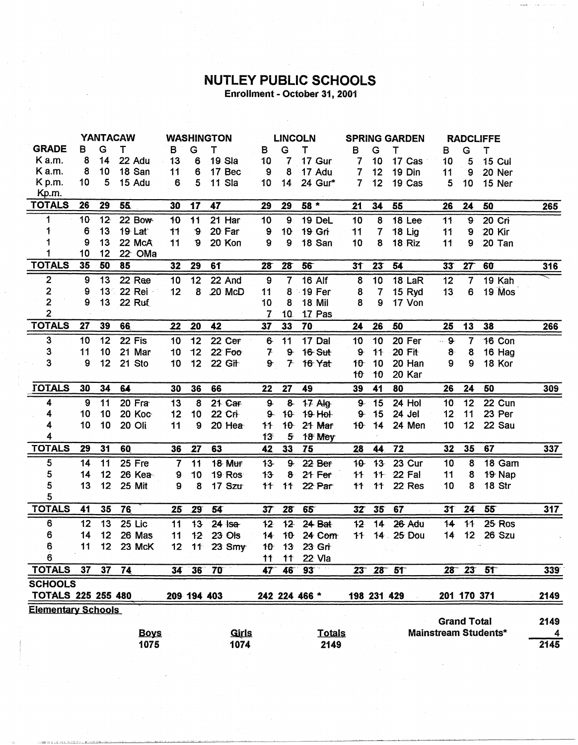## **NUTLEY PUBLIC SCHOOLS**<br>Enrollment - October 31, 2001

|                           | <b>YANTACAW</b> |                 |             | <b>WASHINGTON</b> |                 |              | <b>LINCOLN</b> |                | <b>SPRING GARDEN</b> |                          | <b>RADCLIFFE</b> |               |             |                    |                             |                  |
|---------------------------|-----------------|-----------------|-------------|-------------------|-----------------|--------------|----------------|----------------|----------------------|--------------------------|------------------|---------------|-------------|--------------------|-----------------------------|------------------|
| <b>GRADE</b>              | в               | G               | т           | В                 | G               | т            | B              | G              | т                    | в                        | G                | т             | в           | G                  | т                           |                  |
| K a.m.                    | 8               | 14              | 22 Adu      | 13                | 6               | 19 Sla       | 10             | 7              | 17 Gur               | 7                        | 10               | 17 Cas        | 10          | 5                  | <b>15 Cul</b>               |                  |
| K a.m.                    | 8               | 10              | 18 San      | 11                | 6               | 17 Bec       | 9              | 8              | 17 Adu               | $\overline{\mathcal{L}}$ | 12               | 19 Din        | 11          | 9                  | 20 Ner                      |                  |
| K p.m.                    | 10              | 5               | 15 Adu      | 6                 | 5               | 11 Sla       | 10             | 14             | 24 Gur*              | $\overline{7}$           | 12               | 19 Cas        | 5           | 10                 | 15 Ner                      |                  |
| Kp.m.                     |                 |                 |             |                   |                 |              |                |                |                      |                          |                  |               |             |                    |                             |                  |
| <b>TOTALS</b>             | 26              | 29              | 55          | 30                | 17              | 47           | 29             | 29             | 58 *                 | 21                       | 34               | 55            | 26          | 24                 | 50                          | 265              |
| 1                         | 10              | 12              | 22 Bow      | 10                | 11              | $21$ Har     | 10             | 9              | 19 DeL               | 10                       | 8                | 18 Lee        | 11          | 9                  | 20 Cri                      |                  |
| 1                         | 6               | 13              | 19 Lat      | 11                | $\mathbf{9}$    | 20 Far       | 9              | $10 -$         | 19 Gri               | 11                       | 7                | <b>18 Lig</b> | 11          | 9                  | 20 Kir                      |                  |
|                           | 9               | 13              | 22 McA      | 11                | $\mathbf{9}$    | 20 Kon       | 9              | 9              | 18 San               | 10                       | 8                | 18 Riz        | 11          | 9                  | 20 Tan                      |                  |
|                           | 10              | 12              | 22 OMa      |                   |                 |              |                |                |                      |                          |                  |               |             |                    |                             |                  |
| <b>TOTALS</b>             | 35              | 50              | 85          | 32                | 29              | 61           | 28             | 28             | 56                   | 31                       | 23               | 54            | 33          | 27                 | 60                          | <u>316</u>       |
| $\overline{\mathbf{c}}$   | 9               | 13              | 22 Ree      | 10                | 12              | 22 And       | 9              | $\overline{7}$ | 16 Alf               | 8                        | 10               | 18 LaR        | 12          | $\overline{7}$     | 19 Kah                      |                  |
| 2                         | 9               | 13 <sup>°</sup> | 22 Rei      | 12                | 8               | 20 McD       | 11             | 8              | $-19$ Fer            | 8                        | $\overline{7}$   | 15 Ryd        | 13          | 6                  | 19 Mos                      |                  |
| $\mathbf 2$               | 9               | 13              | 22 Ruf      |                   |                 |              | 10             | 8              | 18 Mil               | 8                        | 9                | 17 Von        |             |                    |                             |                  |
| $\overline{2}$            |                 |                 |             |                   |                 |              | 7              | 10             | 17 Pas               |                          |                  |               |             |                    |                             |                  |
| <b>TOTALS</b>             | 27              | 39              | 66          | 22                | 20              | 42           | 37             | 33             | 70                   | 24                       | 26               | 50            | 25          | 13                 | 38                          | 266              |
| $\mathbf{3}$              | 10              | 12              | 22 Fis      | 10                | 12              | 22 Cer       | $6 -$          | 11             | 17 Dal               | 10                       | 10               | 20 Fer        | $\cdots$ 9- | 7                  | 16 Con                      |                  |
| 3                         | 11              | 10              | 21 Mar      | 10                | 12              | 22 Foo       | 7              | $9 -$          | <b>16 Sut</b>        | $9 -$                    | 11               | 20 Fit        | $8 -$       | 8                  | 16 Hag                      |                  |
| 3                         | 9               | 12              | 21 Sto      | 10                | 12              | 22 Git       | ð.             | $\tau$         | 16 Yat               | $10 -$                   | 10               | 20 Han        | 9           | 9                  | 18 Kor                      |                  |
|                           |                 |                 |             |                   |                 |              |                |                |                      | $10^{-1}$                | 10               | 20 Kar        |             |                    |                             |                  |
| <b>TOTALS</b>             | 30              | 34              | 64          | 30                | 36              | 66           | 22             | 27             | 49                   | 39                       | 41               | 80            | 26          | 24                 | 50                          | 309              |
| 4                         | 9               | 11              | 20 Fra      | 13                | 8               | 21 Car       | $9 -$          | $8 -$          | 17 Alg               | 9                        | 15               | 24 Hol        | 10          | 12                 | 22 Cun                      |                  |
| 4                         | 10              | 10              | 20 Koc      | 12                | 10              | 22 Cri       | 9              | $10 -$         | 19-Hol-              | $9 -$                    | 15               | 24 Jel        | 12          | 11                 | 23 Per                      |                  |
| 4                         | 10              | 10              | 20 Oli      | 11                | 9               | 20 Hea       | 11             |                | 10 21 Mar            | 10                       | 14               | 24 Men        | 10          | 12                 | 22 Sau                      |                  |
| 4                         |                 |                 |             |                   |                 |              | 13             | 5 <sup>5</sup> | 18 Mey               |                          |                  |               |             |                    |                             |                  |
| <b>TOTALS</b>             | 29              | 31              | 60          | 36                | 27              | 63           | 42             | 33             | 75                   | 28                       | 44               | 72            | 32          | 35                 | 67                          | $\overline{3}37$ |
| 5                         | 14              | 11              | 25 Fre      | $\overline{7}$    | 11              | 18 Mur       | $13 -$         | $9 -$          | 22 Ber               | $10 -$                   | $13 -$           | 23 Cur        | 10          | 8                  | 18 Gam                      |                  |
| 5                         | 14              | 12              | 26 Kea      | $\boldsymbol{9}$  | 10              | 19 Ros       | 13             |                | $8 - 21$ Fer         | 11                       |                  | 11 22 Fal     | 11          | 8                  | 19 Nap                      |                  |
| 5                         | 13              | 12              | 25 Mit      | 9                 | 8               | 17 Sztr      | 11             | 11             | 22 Par               | $+1$                     | 11               | 22 Res        | 10          | 8                  | 18 Str                      |                  |
| 5                         |                 |                 |             |                   |                 |              |                |                |                      |                          |                  |               |             |                    |                             |                  |
| <b>TOTALS</b>             | 41              | 35              | 76          | 25                | 29              | 54           | 37             | 28             | 65                   | 32                       | 35               | 67            | 31          | 24                 | 55                          | 317              |
| 6                         | 12              | 13              | 25 Lic      | 11                | 13              | $24$ Isa     | $12 -$         | $12 -$         | $24$ Bat             | 12 <sub>2</sub>          | 14               | 26 Adu        | 14          | 11                 | 25 Ros                      |                  |
| 6                         | 14              | 12              | 26 Mas      | 11                | 12              | 23 Ols       | 14             | $10 -$         | 24 Com               | 11                       |                  | 14 25 Dou     | 14          | 12                 | 26 Szu                      |                  |
| 6                         | 11              | 12              | 23 McK      | 12                | $11 -$          | $23$ Smy     | $10 -$         | 13             | 23 Gri               |                          |                  |               |             |                    |                             |                  |
| 6                         |                 |                 |             |                   |                 |              | $\ddagger$     |                | 11 22 Vla            |                          |                  |               |             |                    |                             |                  |
| <b>TOTALS</b>             | 37              | 37              | 74          | 34                | 36 <sup>2</sup> | 70           | 47             | 46             | 93                   |                          |                  | 23 28 51      |             |                    | 28 23 51                    | 339              |
| <b>SCHOOLS</b>            |                 |                 |             |                   |                 |              |                |                |                      |                          |                  |               |             |                    |                             |                  |
| <b>TOTALS 225 255 480</b> |                 |                 |             |                   |                 | 209 194 403  |                |                | 242 224 466 *        |                          |                  | 198 231 429   |             | 201 170 371        |                             | 2149             |
| <b>Elementary Schools</b> |                 |                 |             |                   |                 |              |                |                |                      |                          |                  |               |             |                    |                             |                  |
|                           |                 |                 |             |                   |                 |              |                |                |                      |                          |                  |               |             | <b>Grand Total</b> |                             | 2149             |
|                           |                 |                 | <b>Boys</b> |                   |                 | <b>Girls</b> |                |                | <b>Totals</b>        |                          |                  |               |             |                    | <b>Mainstream Students*</b> | 4                |
|                           |                 |                 | 1075        |                   |                 | 1074         |                |                | 2149                 |                          |                  |               |             |                    |                             | 2145             |